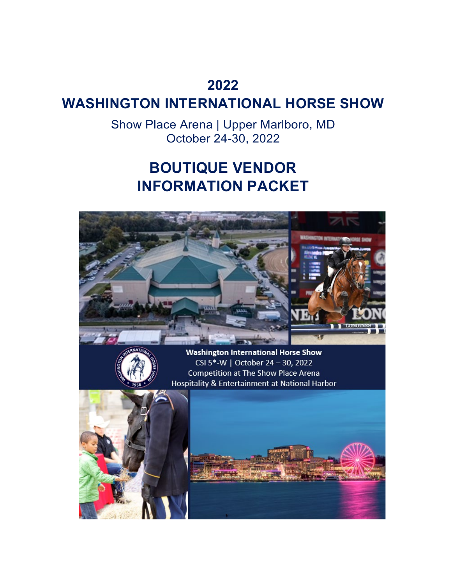### **2022**

### **WASHINGTON INTERNATIONAL HORSE SHOW**

Show Place Arena | Upper Marlboro, MD October 24-30, 2022

# **BOUTIQUE VENDOR INFORMATION PACKET**

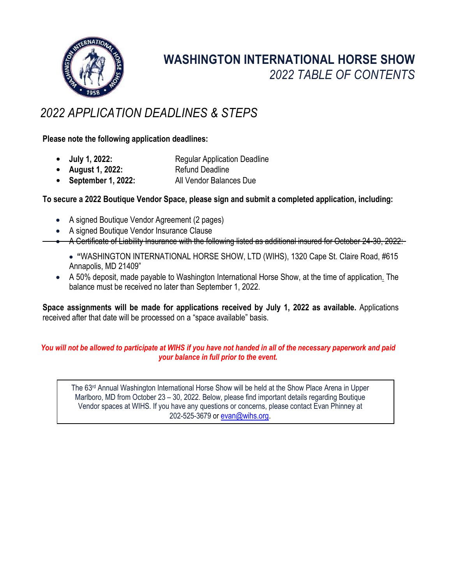

## **WASHINGTON INTERNATIONAL HORSE SHOW** *2022 TABLE OF CONTENTS*

### *2022 APPLICATION DEADLINES & STEPS*

**Please note the following application deadlines:**

- **July 1, 2022:** Regular Application Deadline<br> **August 1, 2022:** Refund Deadline
- August 1, 2022:
- **September 1, 2022:** All Vendor Balances Due

### **To secure a 2022 Boutique Vendor Space, please sign and submit a completed application, including:**

- A signed Boutique Vendor Agreement (2 pages)
- A signed Boutique Vendor Insurance Clause
- A Certificate of Liability Insurance with the following listed as additional insured for October 24-30, 2022:
	- **"**WASHINGTON INTERNATIONAL HORSE SHOW, LTD (WIHS), 1320 Cape St. Claire Road, #615 Annapolis, MD 21409"
- A 50% deposit, made payable to Washington International Horse Show, at the time of application. The balance must be received no later than September 1, 2022.

**Space assignments will be made for applications received by July 1, 2022 as available.** Applications received after that date will be processed on a "space available" basis.

#### *You will not be allowed to participate at WIHS if you have not handed in all of the necessary paperwork and paid your balance in full prior to the event.*

The 63<sup>rd</sup> Annual Washington International Horse Show will be held at the Show Place Arena in Upper Marlboro, MD from October 23 – 30, 2022. Below, please find important details regarding Boutique Vendor spaces at WIHS. If you have any questions or concerns, please contact Evan Phinney at 202-525-3679 or [evan@wihs.org.](mailto:evan@wihs.org)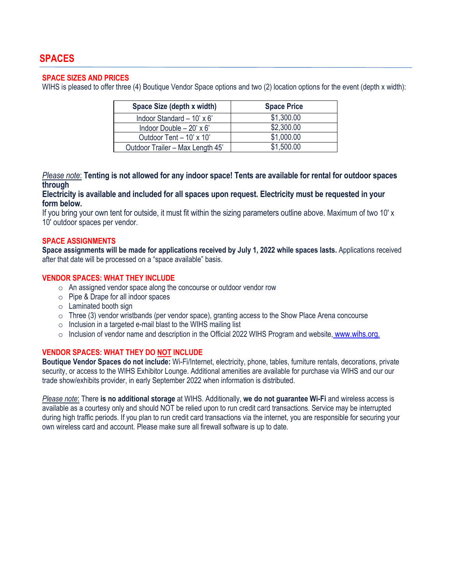#### **SPACE SIZES AND PRICES**

WIHS is pleased to offer three (4) Boutique Vendor Space options and two (2) location options for the event (depth x width):

| Space Size (depth x width)       | <b>Space Price</b> |
|----------------------------------|--------------------|
| Indoor Standard $-10' \times 6'$ | \$1,300.00         |
| Indoor Double $-20' \times 6'$   | \$2,300.00         |
| Outdoor Tent - 10' x 10'         | \$1,000.00         |
| Outdoor Trailer - Max Length 45' | \$1,500.00         |

*Please note*: **Tenting is not allowed for any indoor space! Tents are available for rental for outdoor spaces through** 

**Electricity is available and included for all spaces upon request. Electricity must be requested in your form below.**

If you bring your own tent for outside, it must fit within the sizing parameters outline above. Maximum of two 10' x 10' outdoor spaces per vendor.

#### **SPACE ASSIGNMENTS**

**Space assignments will be made for applications received by July 1, 2022 while spaces lasts.** Applications received after that date will be processed on a "space available" basis.

#### **VENDOR SPACES: WHAT THEY INCLUDE**

- o An assigned vendor space along the concourse or outdoor vendor row
- o Pipe & Drape for all indoor spaces
- $\circ$  Laminated booth sign
- $\circ$  Three (3) vendor wristbands (per vendor space), granting access to the Show Place Arena concourse
- o Inclusion in a targeted e-mail blast to the WIHS mailing list
- $\circ$  Inclusion of vendor name and description in the Official 2022 WIHS Program and website, [www.wihs.org.](http://www.wihs.org/)

#### **VENDOR SPACES: WHAT THEY DO NOT INCLUDE**

**Boutique Vendor Spaces do not include:** Wi-Fi/Internet, electricity, phone, tables, furniture rentals, decorations, private security, or access to the WIHS Exhibitor Lounge. Additional amenities are available for purchase via WIHS and our our trade show/exhibits provider, in early September 2022 when information is distributed.

*Please note*: There **is no additional storage** at WIHS. Additionally, **we do not guarantee Wi-Fi** and wireless access is available as a courtesy only and should NOT be relied upon to run credit card transactions. Service may be interrupted during high traffic periods. If you plan to run credit card transactions via the internet, you are responsible for securing your own wireless card and account. Please make sure all firewall software is up to date.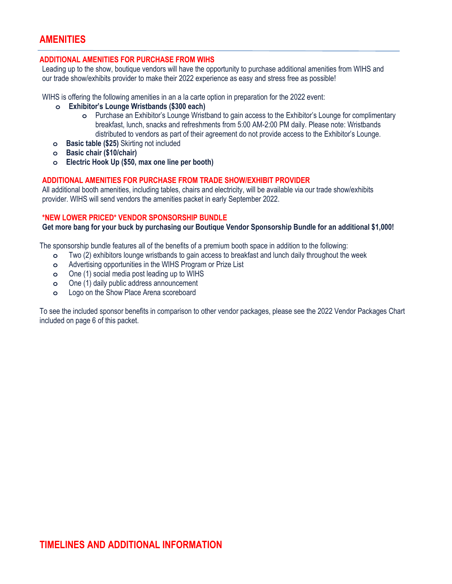### **AMENITIES**

#### **ADDITIONAL AMENITIES FOR PURCHASE FROM WIHS**

Leading up to the show, boutique vendors will have the opportunity to purchase additional amenities from WIHS and our trade show/exhibits provider to make their 2022 experience as easy and stress free as possible!

WIHS is offering the following amenities in an a la carte option in preparation for the 2022 event:

- **o Exhibitor's Lounge Wristbands (\$300 each)**
	- **o** Purchase an Exhibitor's Lounge Wristband to gain access to the Exhibitor's Lounge for complimentary breakfast, lunch, snacks and refreshments from 5:00 AM-2:00 PM daily. Please note: Wristbands distributed to vendors as part of their agreement do not provide access to the Exhibitor's Lounge.
- **o Basic table (\$25)** Skirting not included
- **o Basic chair (\$10/chair)**
- **o Electric Hook Up (\$50, max one line per booth)**

#### **ADDITIONAL AMENITIES FOR PURCHASE FROM TRADE SHOW/EXHIBIT PROVIDER**

All additional booth amenities, including tables, chairs and electricity, will be available via our trade show/exhibits provider. WIHS will send vendors the amenities packet in early September 2022.

#### **\*NEW LOWER PRICED\* VENDOR SPONSORSHIP BUNDLE**

**Get more bang for your buck by purchasing our Boutique Vendor Sponsorship Bundle for an additional \$1,000!**

The sponsorship bundle features all of the benefits of a premium booth space in addition to the following:

- **o** Two (2) exhibitors lounge wristbands to gain access to breakfast and lunch daily throughout the week
- **o** Advertising opportunities in the WIHS Program or Prize List
- **o** One (1) social media post leading up to WIHS
- **o** One (1) daily public address announcement
- **o** Logo on the Show Place Arena scoreboard

To see the included sponsor benefits in comparison to other vendor packages, please see the 2022 Vendor Packages Chart included on page 6 of this packet.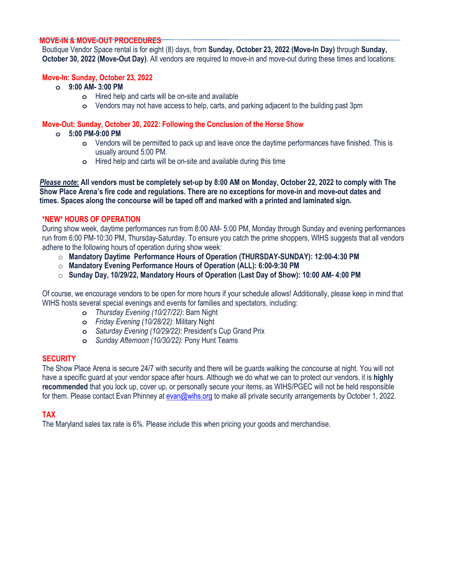#### **MOVE-IN & MOVE-OUT PROCEDURES**

Boutique Vendor Space rental is for eight (8) days, from **Sunday, October 23, 2022 (Move-In Day)** through **Sunday, October 30, 2022 (Move-Out Day)**. All vendors are required to move-in and move-out during these times and locations:

#### **Move-In: Sunday, October 23, 2022**

- **o 9:00 AM- 3:00 PM**
	- **o** Hired help and carts will be on-site and available
	- **o** Vendors may not have access to help, carts, and parking adjacent to the building past 3pm

#### **Move-Out: Sunday, October 30, 2022: Following the Conclusion of the Horse Show**

- **o 5:00 PM-9:00 PM**
	- **o** Vendors will be permitted to pack up and leave once the daytime performances have finished. This is usually around 5:00 PM.
	- **o** Hired help and carts will be on-site and available during this time

*Please note***: All vendors must be completely set-up by 8:00 AM on Monday, October 22, 2022 to comply with The Show Place Arena's fire code and regulations. There are no exceptions for move-in and move-out dates and times. Spaces along the concourse will be taped off and marked with a printed and laminated sign.**

#### **\*NEW\* HOURS OF OPERATION**

During show week, daytime performances run from 8:00 AM- 5:00 PM, Monday through Sunday and evening performances run from 6:00 PM-10:30 PM, Thursday-Saturday. To ensure you catch the prime shoppers, WIHS suggests that all vendors adhere to the following hours of operation during show week:

- o **Mandatory Daytime Performance Hours of Operation (THURSDAY-SUNDAY): 12:00-4:30 PM**
- o **Mandatory Evening Performance Hours of Operation (ALL): 6:00-9:30 PM**
- o **Sunday Day, 10/29/22, Mandatory Hours of Operation (Last Day of Show): 10:00 AM- 4:00 PM**

Of course, we encourage vendors to be open for more hours if your schedule allows! Additionally, please keep in mind that WIHS hosts several special evenings and events for families and spectators, including:

- **o** *Thursday Evening (10/27/22)*: Barn Night
- **o** *Friday Evening (10/28/22)*: Military Night
- **o** *Saturday Evening (10/29/22)*: President's Cup Grand Prix
- **o** *Sunday Afternoon (10/30/22):* Pony Hunt Teams

#### **SECURITY**

The Show Place Arena is secure 24/7 with security and there will be guards walking the concourse at night. You will not have a specific guard at your vendor space after hours. Although we do what we can to protect our vendors, it is **highly recommended** that you lock up, cover up, or personally secure your items, as WIHS/PGEC will not be held responsible for them. Please contact Evan Phinney at [evan@wihs.org](mailto:evan@wihs.org) to make all private security arrangements by October 1, 2022.

#### **TAX**

The Maryland sales tax rate is 6%. Please include this when pricing your goods and merchandise.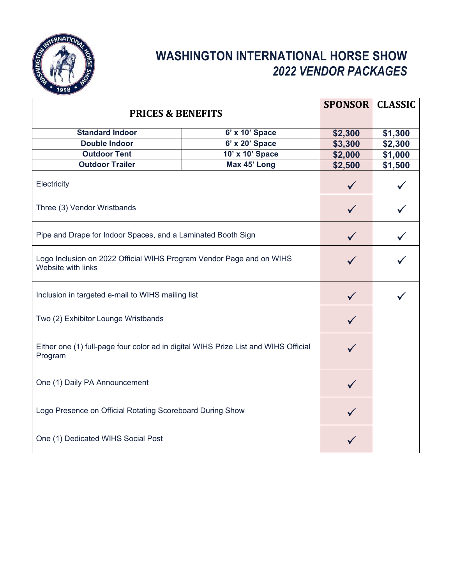

### **WASHINGTON INTERNATIONAL HORSE SHOW** *2022 VENDOR PACKAGES*

| <b>PRICES &amp; BENEFITS</b>                                                                   |                 | <b>SPONSOR</b> | <b>CLASSIC</b> |  |
|------------------------------------------------------------------------------------------------|-----------------|----------------|----------------|--|
| <b>Standard Indoor</b>                                                                         | 6' x 10' Space  | \$2,300        | \$1,300        |  |
| <b>Double Indoor</b>                                                                           | 6' x 20' Space  | \$3,300        | \$2,300        |  |
| <b>Outdoor Tent</b>                                                                            | 10' x 10' Space | \$2,000        | \$1,000        |  |
| <b>Outdoor Trailer</b>                                                                         | Max 45' Long    | \$2,500        | \$1,500        |  |
| Electricity                                                                                    |                 |                |                |  |
| Three (3) Vendor Wristbands                                                                    |                 |                |                |  |
| Pipe and Drape for Indoor Spaces, and a Laminated Booth Sign                                   |                 |                |                |  |
| Logo Inclusion on 2022 Official WIHS Program Vendor Page and on WIHS<br>Website with links     |                 |                |                |  |
| Inclusion in targeted e-mail to WIHS mailing list                                              |                 |                |                |  |
| Two (2) Exhibitor Lounge Wristbands                                                            |                 |                |                |  |
| Either one (1) full-page four color ad in digital WIHS Prize List and WIHS Official<br>Program |                 |                |                |  |
| One (1) Daily PA Announcement                                                                  |                 |                |                |  |
| Logo Presence on Official Rotating Scoreboard During Show                                      |                 |                |                |  |
| One (1) Dedicated WIHS Social Post                                                             |                 |                |                |  |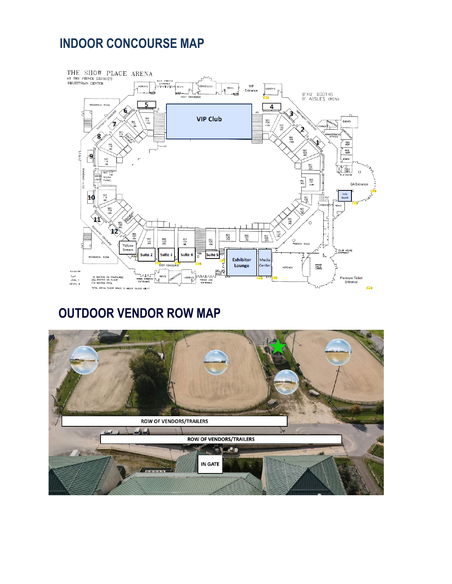### **INDOOR CONCOURSE MAP**



### **OUTDOOR VENDOR ROW MAP**

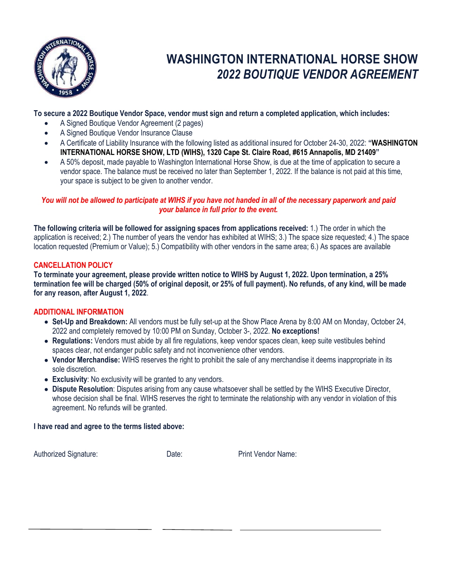

### **WASHINGTON INTERNATIONAL HORSE SHOW** *2022 BOUTIQUE VENDOR AGREEMENT*

#### **To secure a 2022 Boutique Vendor Space, vendor must sign and return a completed application, which includes:**

- A Signed Boutique Vendor Agreement (2 pages)
- A Signed Boutique Vendor Insurance Clause
- A Certificate of Liability Insurance with the following listed as additional insured for October 24-30, 2022: **"WASHINGTON INTERNATIONAL HORSE SHOW, LTD (WIHS), 1320 Cape St. Claire Road, #615 Annapolis, MD 21409"**
- A 50% deposit, made payable to Washington International Horse Show, is due at the time of application to secure a vendor space. The balance must be received no later than September 1, 2022. If the balance is not paid at this time, your space is subject to be given to another vendor.

#### *You will not be allowed to participate at WIHS if you have not handed in all of the necessary paperwork and paid your balance in full prior to the event.*

**The following criteria will be followed for assigning spaces from applications received:** 1.) The order in which the application is received; 2.) The number of years the vendor has exhibited at WIHS; 3.) The space size requested; 4.) The space location requested (Premium or Value); 5.) Compatibility with other vendors in the same area; 6.) As spaces are available

#### **CANCELLATION POLICY**

**To terminate your agreement, please provide written notice to WIHS by August 1, 2022. Upon termination, a 25% termination fee will be charged (50% of original deposit, or 25% of full payment). No refunds, of any kind, will be made for any reason, after August 1, 2022**.

#### **ADDITIONAL INFORMATION**

- **Set-Up and Breakdown:** All vendors must be fully set-up at the Show Place Arena by 8:00 AM on Monday, October 24, 2022 and completely removed by 10:00 PM on Sunday, October 3-, 2022. **No exceptions!**
- **Regulations:** Vendors must abide by all fire regulations, keep vendor spaces clean, keep suite vestibules behind spaces clear, not endanger public safety and not inconvenience other vendors.
- **Vendor Merchandise:** WIHS reserves the right to prohibit the sale of any merchandise it deems inappropriate in its sole discretion.
- **Exclusivity**: No exclusivity will be granted to any vendors.
- **Dispute Resolution**: Disputes arising from any cause whatsoever shall be settled by the WIHS Executive Director, whose decision shall be final. WIHS reserves the right to terminate the relationship with any vendor in violation of this agreement. No refunds will be granted.

#### **I have read and agree to the terms listed above:**

Authorized Signature: Date: Date: Print Vendor Name: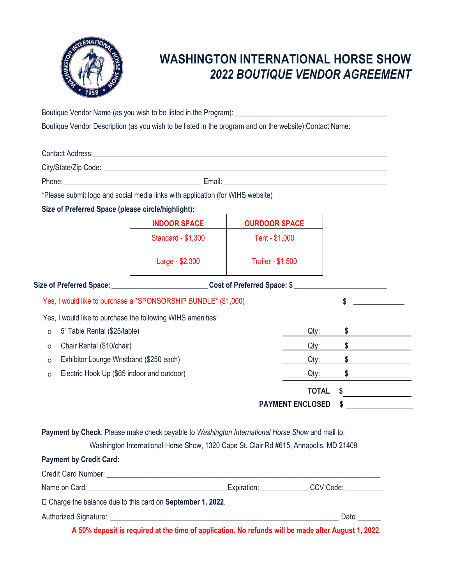

### **WASHINGTON INTERNATIONAL HORSE SHOW** *2022 BOUTIQUE VENDOR AGREEMENT*

Boutique Vendor Name (as you wish to be listed in the Program):\_\_\_\_\_\_\_\_\_\_\_\_\_\_\_\_\_\_\_\_\_\_\_\_\_\_\_\_\_\_\_\_\_\_\_\_\_\_\_\_\_

Boutique Vendor Description (as you wish to be listed in the program and on the website):Contact Name:

| *Please submit logo and social media links with application (for WIHS website)                  |                                                                                       |                          |              |               |  |  |
|-------------------------------------------------------------------------------------------------|---------------------------------------------------------------------------------------|--------------------------|--------------|---------------|--|--|
| Size of Preferred Space (please circle/highlight):                                              |                                                                                       |                          |              |               |  |  |
|                                                                                                 | <b>INDOOR SPACE</b>                                                                   | <b>OURDOOR SPACE</b>     |              |               |  |  |
|                                                                                                 | <b>Standard - \$1,300</b>                                                             | Tent - \$1,000           |              |               |  |  |
|                                                                                                 | Large - \$2,300                                                                       | <b>Trailer - \$1,500</b> |              |               |  |  |
| Size of Preferred Space: 100 Cost of Preferred Space: \$                                        |                                                                                       |                          |              |               |  |  |
|                                                                                                 | Yes, I would like to purchase a *SPONSORSHIP BUNDLE* (\$1,000)                        |                          |              |               |  |  |
| Yes, I would like to purchase the following WIHS amenities:                                     |                                                                                       |                          |              |               |  |  |
| 5' Table Rental (\$25/table)<br>$\circ$                                                         |                                                                                       |                          | Qty:         | \$.           |  |  |
| Chair Rental (\$10/chair)<br>$\circ$                                                            |                                                                                       |                          | Qty:         | $\sim$        |  |  |
| Exhibitor Lounge Wristband (\$250 each)<br>$\circ$                                              |                                                                                       |                          | Qty:         | $\sim$        |  |  |
| Electric Hook Up (\$65 indoor and outdoor)<br>O                                                 |                                                                                       |                          | Qty:         | $\frac{1}{2}$ |  |  |
|                                                                                                 |                                                                                       |                          | <b>TOTAL</b> | \$            |  |  |
|                                                                                                 |                                                                                       | <b>PAYMENT ENCLOSED</b>  |              | \$            |  |  |
| Payment by Check: Please make check payable to Washington International Horse Show and mail to: | Washington International Horse Show, 1320 Cape St. Clair Rd #615; Annapolis, MD 21409 |                          |              |               |  |  |
| <b>Payment by Credit Card:</b>                                                                  |                                                                                       |                          |              |               |  |  |
|                                                                                                 |                                                                                       |                          |              |               |  |  |
|                                                                                                 |                                                                                       |                          |              |               |  |  |
| □ Charge the balance due to this card on September 1, 2022.                                     |                                                                                       |                          |              |               |  |  |
|                                                                                                 |                                                                                       |                          |              | Date          |  |  |

**A 50% deposit is required at the time of application. No refunds will be made after August 1, 2022.**